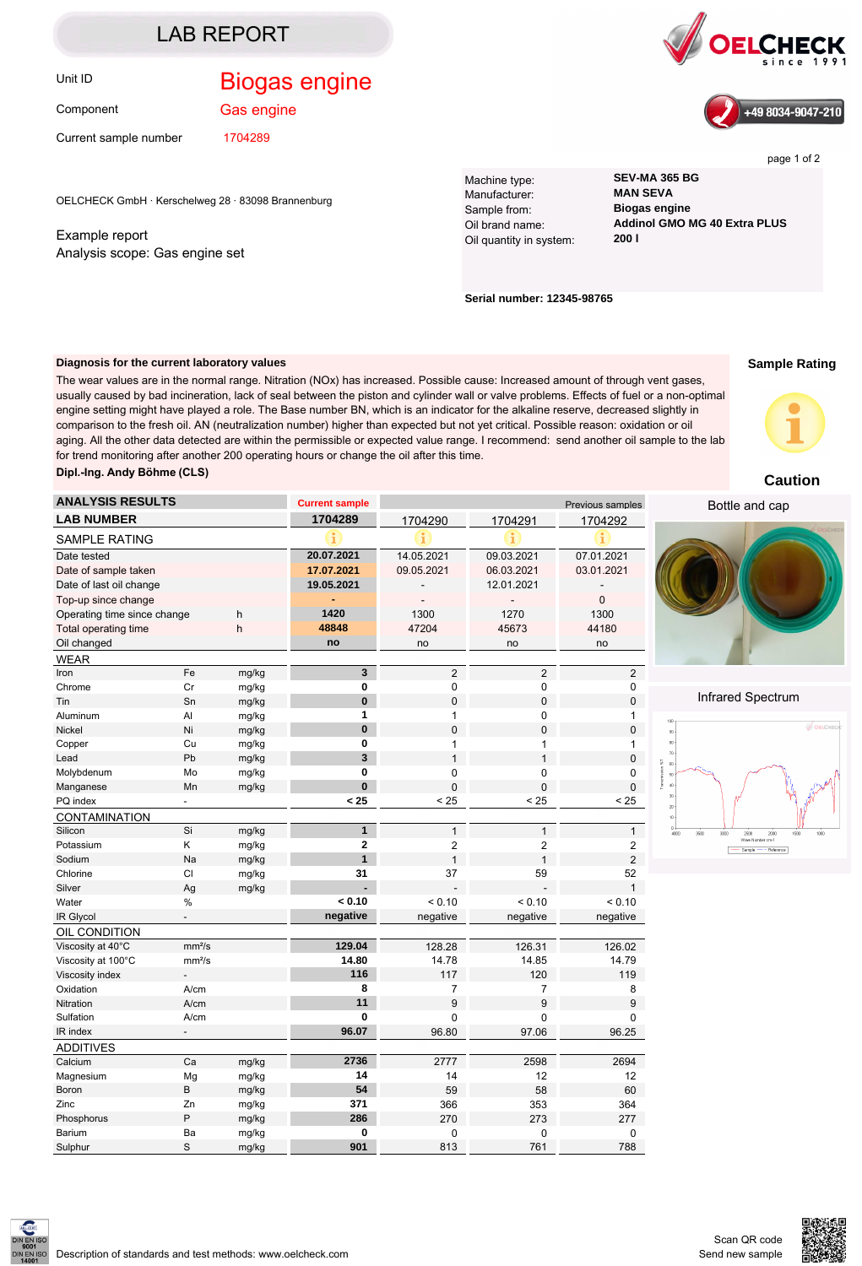### LAB REPORT

Component

Gas engine

Current sample number 1704289

OELCHECK GmbH · Kerschelweg 28 · 83098 Brannenburg

Example report Analysis scope: Gas engine set Machine type: **SEV-MA 365 BG** Manufacturer: Sample from: **Biogas engine** Oil quantity in system:

Oil brand name: **Addinol GMO MG 40 Extra PLUS**

**Serial number: 12345-98765**

#### **Diagnosis for the current laboratory values**

The wear values are in the normal range. Nitration (NOx) has increased. Possible cause: Increased amount of through vent gases, usually caused by bad incineration, lack of seal between the piston and cylinder wall or valve problems. Effects of fuel or a non-optimal engine setting might have played a role. The Base number BN, which is an indicator for the alkaline reserve, decreased slightly in comparison to the fresh oil. AN (neutralization number) higher than expected but not yet critical. Possible reason: oxidation or oil aging. All the other data detected are within the permissible or expected value range. I recommend: send another oil sample to the lab for trend monitoring after another 200 operating hours or change the oil after this time.

**Dipl.-Ing. Andy Böhme (CLS)**

| Upi.-ing. Andy Domne (ULJ)  |                           |                |                       |                      |                  |                  | <b>Caution</b>                                            |
|-----------------------------|---------------------------|----------------|-----------------------|----------------------|------------------|------------------|-----------------------------------------------------------|
| <b>ANALYSIS RESULTS</b>     |                           |                | <b>Current sample</b> |                      |                  | Previous samples | Bottle and cap                                            |
| <b>LAB NUMBER</b>           |                           |                | 1704289               | 1704290              | 1704291          | 1704292          |                                                           |
| <b>SAMPLE RATING</b>        |                           |                | i                     |                      |                  |                  |                                                           |
| Date tested                 |                           |                | 20.07.2021            | 14.05.2021           | 09.03.2021       | 07.01.2021       |                                                           |
| Date of sample taken        |                           |                | 17.07.2021            | 09.05.2021           | 06.03.2021       | 03.01.2021       |                                                           |
| Date of last oil change     |                           |                | 19.05.2021            |                      | 12.01.2021       |                  |                                                           |
| Top-up since change         |                           |                |                       | ÷.                   | $\overline{a}$   | $\mathbf 0$      |                                                           |
| Operating time since change |                           | h              | 1420                  | 1300                 | 1270             | 1300             |                                                           |
| Total operating time        |                           | h              | 48848                 | 47204                | 45673            | 44180            |                                                           |
| Oil changed                 |                           |                | no                    | no                   | no               | no               |                                                           |
| <b>WEAR</b>                 |                           |                |                       |                      |                  |                  |                                                           |
| Iron                        | Fe                        | mg/kg          | $\mathbf{3}$          | $\overline{2}$       | $\overline{2}$   | $\overline{2}$   |                                                           |
| Chrome                      | Cr                        | mg/kg          | $\pmb{0}$             | $\mathbf 0$          | $\pmb{0}$        | 0                |                                                           |
| Tin                         | Sn                        | mg/kg          | $\pmb{0}$             | $\pmb{0}$            | $\pmb{0}$        | $\pmb{0}$        | Infrared Spectrum                                         |
| Aluminum                    | Al                        | mg/kg          | $\mathbf{1}$          | $\mathbf{1}$         | 0                | $\mathbf{1}$     | 100                                                       |
| Nickel                      | Ni                        | mg/kg          | $\mathbf{0}$          | $\mathbf 0$          | $\mathbf 0$      | $\pmb{0}$        | தி ப<br>$90\,$                                            |
| Copper                      | Cu                        | mg/kg          | $\mathbf 0$           | $\mathbf{1}$         | 1                | $\mathbf{1}$     | 80                                                        |
| Lead                        | Pb                        | mg/kg          | $\mathbf{3}$          | $\mathbf{1}$         | $\mathbf{1}$     | $\pmb{0}$        | m                                                         |
| Molybdenum                  | Mo                        | mg/kg          | $\mathbf 0$           | $\mathbf 0$          | 0                | 0                | $60$                                                      |
| Manganese                   | Mn                        | mg/kg          | $\bf{0}$              | $\pmb{0}$            | $\pmb{0}$        | 0                | 40<br>30                                                  |
| PQ index                    |                           |                | < 25                  | < 25                 | < 25             | < 25             | $\infty$                                                  |
| CONTAMINATION               |                           |                |                       |                      |                  |                  |                                                           |
| Silicon                     | Si                        | mg/kg          | $\mathbf{1}$          | $\mathbf{1}$         | $\mathbf{1}$     | 1                | $0 +$<br>3600<br>3000<br>2000<br>2500<br>Wave Number cm-1 |
| Potassium                   | Κ                         | mg/kg          | $\mathbf 2$           | $\boldsymbol{2}$     | $\boldsymbol{2}$ | 2                | - Sample - - Reference                                    |
| Sodium                      | Na                        | mg/kg          | $\mathbf{1}$          | $\mathbf{1}$         | $\mathbf{1}$     | 2                |                                                           |
| Chlorine                    | CI                        | mg/kg          | 31                    | 37                   | 59               | 52               |                                                           |
| Silver                      | Ag                        | mg/kg          |                       |                      |                  | $\mathbf{1}$     |                                                           |
| Water                       | $\%$                      |                | < 0.10                | < 0.10               | < 0.10           | < 0.10           |                                                           |
| IR Glycol                   | $\mathbb{L}^{\mathbb{N}}$ |                | negative              | negative             | negative         | negative         |                                                           |
| OIL CONDITION               |                           |                |                       |                      |                  |                  |                                                           |
| Viscosity at 40°C           | mm <sup>2</sup> /s        |                | 129.04                | 128.28               | 126.31           | 126.02           |                                                           |
| Viscosity at 100°C          | mm <sup>2</sup> /s        |                | 14.80                 | 14.78                | 14.85            | 14.79            |                                                           |
| Viscosity index             |                           |                | 116<br>8              | 117                  | 120              | 119              |                                                           |
| Oxidation                   | A/cm                      |                | 11                    | $\overline{7}$       | $\overline{7}$   | 8                |                                                           |
| Nitration                   | A/cm                      |                | $\mathbf{0}$          | 9                    | 9                | 9                |                                                           |
| Sulfation                   | A/cm<br>$\blacksquare$    |                | 96.07                 | $\mathbf 0$<br>96.80 | 0<br>97.06       | 0                |                                                           |
| IR index                    |                           |                |                       |                      |                  | 96.25            |                                                           |
| <b>ADDITIVES</b>            |                           |                |                       |                      |                  |                  |                                                           |
| Calcium                     | Ca                        | mg/kg          | 2736<br>14            | 2777                 | 2598             | 2694<br>12       |                                                           |
| Magnesium                   | Mg<br>B                   | mg/kg          | 54                    | 14<br>59             | 12<br>58         | 60               |                                                           |
| Boron                       | Zn                        | mg/kg          | 371                   |                      |                  |                  |                                                           |
| Zinc<br>Phosphorus          | P                         | mg/kg          | 286                   | 366<br>270           | 353<br>273       | 364<br>277       |                                                           |
| Barium                      | Ba                        | mg/kg<br>mg/kg | $\mathbf 0$           | $\mathbf 0$          | $\mathbf 0$      | 0                |                                                           |
| Sulphur                     | S                         | mg/kg          | 901                   | 813                  | 761              |                  |                                                           |
|                             |                           |                |                       |                      |                  | 788              |                                                           |

# Unit ID **Biogas engine**





page 1 of 2

**Sample Rating**